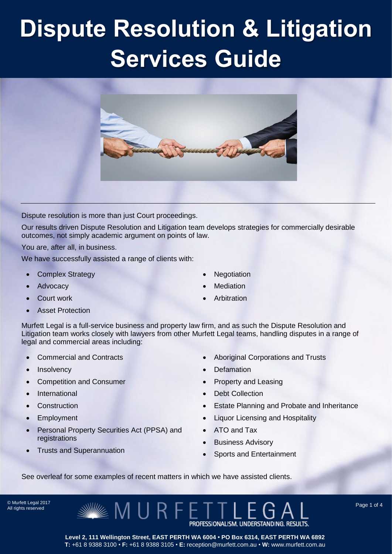

Dispute resolution is more than just Court proceedings.

Our results driven Dispute Resolution and Litigation team develops strategies for commercially desirable outcomes, not simply academic argument on points of law.

You are, after all, in business.

We have successfully assisted a range of clients with:

- Complex Strategy
- Advocacy
- Court work
- Asset Protection
- **Negotiation**
- Mediation
- Arbitration

Murfett Legal is a full-service business and property law firm, and as such the Dispute Resolution and Litigation team works closely with lawyers from other Murfett Legal teams, handling disputes in a range of legal and commercial areas including:

- Commercial and Contracts
- Insolvency
- Competition and Consumer
- International
- **Construction**
- Employment
- Personal Property Securities Act (PPSA) and registrations
- Trusts and Superannuation
- Aboriginal Corporations and Trusts
- Defamation
- Property and Leasing
- Debt Collection
- Estate Planning and Probate and Inheritance
- Liquor Licensing and Hospitality
- ATO and Tax
- Business Advisory
- Sports and Entertainment

See overleaf for some examples of recent matters in which we have assisted clients.

MURFE

© Murfett Legal 2017 All rights reserved

> PROFESSIONALISM. UNDERSTANDING. RESULTS. **Level 2, 111 Wellington Street, EAST PERTH WA 6004 • PO Box 6314, EAST PERTH WA 6892 T:** +61 8 9388 3100 • **F:** +61 8 9388 3105 • **E:** reception@murfett.com.au • **W:** www.murfett.com.au

Page 1 of 4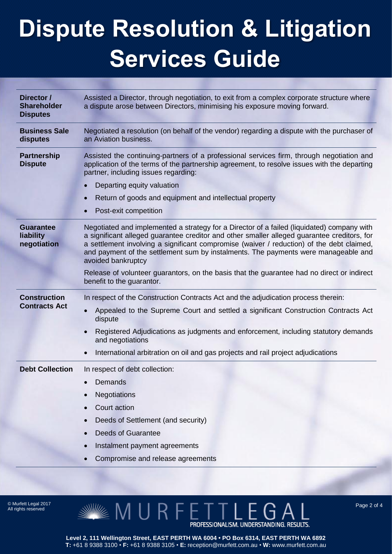| Director /<br><b>Shareholder</b><br><b>Disputes</b> | Assisted a Director, through negotiation, to exit from a complex corporate structure where<br>a dispute arose between Directors, minimising his exposure moving forward.                                                                                                                                                                                                                           |
|-----------------------------------------------------|----------------------------------------------------------------------------------------------------------------------------------------------------------------------------------------------------------------------------------------------------------------------------------------------------------------------------------------------------------------------------------------------------|
| <b>Business Sale</b><br>disputes                    | Negotiated a resolution (on behalf of the vendor) regarding a dispute with the purchaser of<br>an Aviation business.                                                                                                                                                                                                                                                                               |
| <b>Partnership</b><br><b>Dispute</b>                | Assisted the continuing-partners of a professional services firm, through negotiation and<br>application of the terms of the partnership agreement, to resolve issues with the departing<br>partner, including issues regarding:                                                                                                                                                                   |
|                                                     | Departing equity valuation<br>$\bullet$                                                                                                                                                                                                                                                                                                                                                            |
|                                                     | Return of goods and equipment and intellectual property<br>$\bullet$                                                                                                                                                                                                                                                                                                                               |
|                                                     | Post-exit competition<br>$\bullet$                                                                                                                                                                                                                                                                                                                                                                 |
| <b>Guarantee</b><br>liability<br>negotiation        | Negotiated and implemented a strategy for a Director of a failed (liquidated) company with<br>a significant alleged guarantee creditor and other smaller alleged guarantee creditors, for<br>a settlement involving a significant compromise (waiver / reduction) of the debt claimed,<br>and payment of the settlement sum by instalments. The payments were manageable and<br>avoided bankruptcy |
|                                                     | Release of volunteer guarantors, on the basis that the guarantee had no direct or indirect<br>benefit to the guarantor.                                                                                                                                                                                                                                                                            |
| <b>Construction</b><br><b>Contracts Act</b>         | In respect of the Construction Contracts Act and the adjudication process therein:                                                                                                                                                                                                                                                                                                                 |
|                                                     | Appealed to the Supreme Court and settled a significant Construction Contracts Act<br>$\bullet$<br>dispute                                                                                                                                                                                                                                                                                         |
|                                                     | Registered Adjudications as judgments and enforcement, including statutory demands<br>$\bullet$<br>and negotiations                                                                                                                                                                                                                                                                                |
|                                                     | International arbitration on oil and gas projects and rail project adjudications<br>$\bullet$                                                                                                                                                                                                                                                                                                      |
| <b>Debt Collection</b>                              | In respect of debt collection:                                                                                                                                                                                                                                                                                                                                                                     |
|                                                     | Demands                                                                                                                                                                                                                                                                                                                                                                                            |
|                                                     | <b>Negotiations</b>                                                                                                                                                                                                                                                                                                                                                                                |
|                                                     | Court action                                                                                                                                                                                                                                                                                                                                                                                       |
|                                                     | Deeds of Settlement (and security)                                                                                                                                                                                                                                                                                                                                                                 |
|                                                     | <b>Deeds of Guarantee</b>                                                                                                                                                                                                                                                                                                                                                                          |
|                                                     | Instalment payment agreements                                                                                                                                                                                                                                                                                                                                                                      |
|                                                     | Compromise and release agreements                                                                                                                                                                                                                                                                                                                                                                  |

All rights reserved

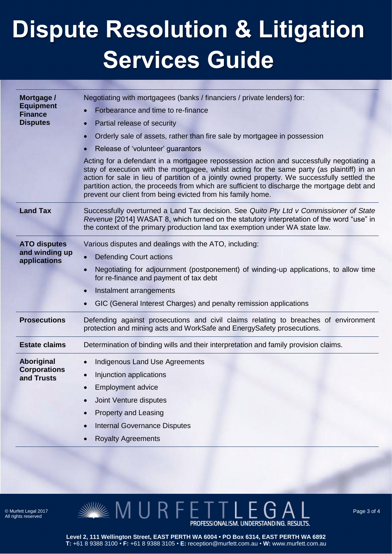| Mortgage /<br><b>Equipment</b><br><b>Finance</b><br><b>Disputes</b> | Negotiating with mortgagees (banks / financiers / private lenders) for:<br>Forbearance and time to re-finance<br>Partial release of security<br>$\bullet$<br>Orderly sale of assets, rather than fire sale by mortgagee in possession<br>$\bullet$<br>Release of 'volunteer' guarantors<br>$\bullet$<br>Acting for a defendant in a mortgagee repossession action and successfully negotiating a<br>stay of execution with the mortgagee, whilst acting for the same party (as plaintiff) in an<br>action for sale in lieu of partition of a jointly owned property. We successfully settled the<br>partition action, the proceeds from which are sufficient to discharge the mortgage debt and<br>prevent our client from being evicted from his family home. |
|---------------------------------------------------------------------|----------------------------------------------------------------------------------------------------------------------------------------------------------------------------------------------------------------------------------------------------------------------------------------------------------------------------------------------------------------------------------------------------------------------------------------------------------------------------------------------------------------------------------------------------------------------------------------------------------------------------------------------------------------------------------------------------------------------------------------------------------------|
| <b>Land Tax</b>                                                     | Successfully overturned a Land Tax decision. See Quito Pty Ltd v Commissioner of State<br>Revenue [2014] WASAT 8, which turned on the statutory interpretation of the word "use" in<br>the context of the primary production land tax exemption under WA state law.                                                                                                                                                                                                                                                                                                                                                                                                                                                                                            |
| <b>ATO disputes</b><br>and winding up<br>applications               | Various disputes and dealings with the ATO, including:<br><b>Defending Court actions</b><br>$\bullet$<br>Negotiating for adjournment (postponement) of winding-up applications, to allow time<br>$\bullet$<br>for re-finance and payment of tax debt<br>Instalment arrangements<br>$\bullet$<br>GIC (General Interest Charges) and penalty remission applications                                                                                                                                                                                                                                                                                                                                                                                              |
| <b>Prosecutions</b>                                                 | Defending against prosecutions and civil claims relating to breaches of environment<br>protection and mining acts and WorkSafe and EnergySafety prosecutions.                                                                                                                                                                                                                                                                                                                                                                                                                                                                                                                                                                                                  |
| <b>Estate claims</b>                                                | Determination of binding wills and their interpretation and family provision claims.                                                                                                                                                                                                                                                                                                                                                                                                                                                                                                                                                                                                                                                                           |
| Aboriginal<br><b>Corporations</b><br>and Trusts                     | Indigenous Land Use Agreements<br>$\bullet$<br>Injunction applications<br>$\bullet$<br><b>Employment advice</b><br>Joint Venture disputes<br><b>Property and Leasing</b><br><b>Internal Governance Disputes</b>                                                                                                                                                                                                                                                                                                                                                                                                                                                                                                                                                |
|                                                                     | <b>Royalty Agreements</b>                                                                                                                                                                                                                                                                                                                                                                                                                                                                                                                                                                                                                                                                                                                                      |

© Murfett Legal 2017 All rights reserved



Page 3 of 4

**Level 2, 111 Wellington Street, EAST PERTH WA 6004 • PO Box 6314, EAST PERTH WA 6892 T:** +61 8 9388 3100 • **F:** +61 8 9388 3105 • **E:** reception@murfett.com.au • **W:** www.murfett.com.au